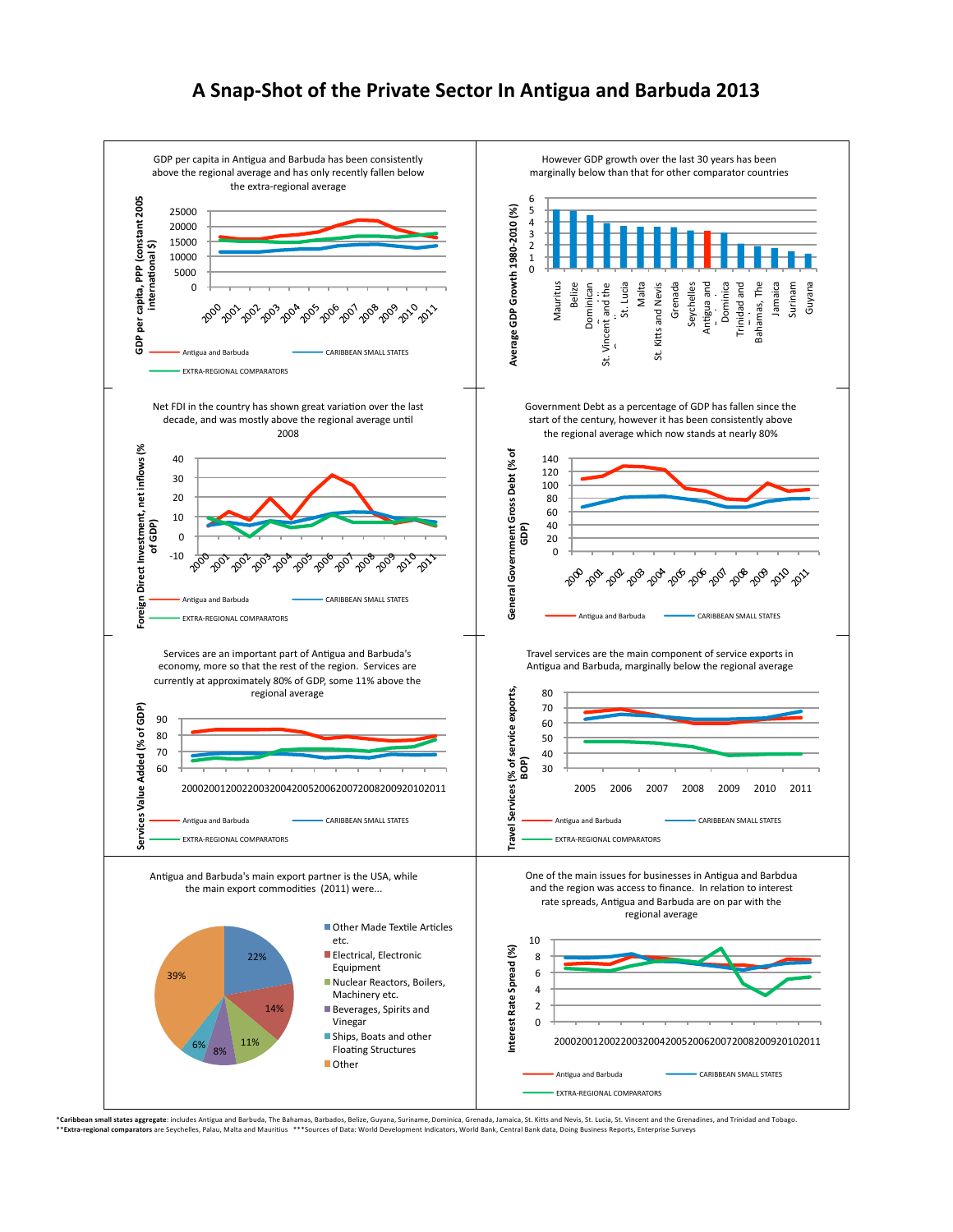## A Snap-Shot of the Private Sector In Antigua and Barbuda 2013



\***Caribbean small states aggregate**: includes Antigua and Barbuda, The Bahamas, Barbados, Belize, Guyana, Suriname, Dominica, Grenada, Jamaica, St. Kitts and Newis, St. Lucia, St. Vincent and the Grenadines, and Trinidad a